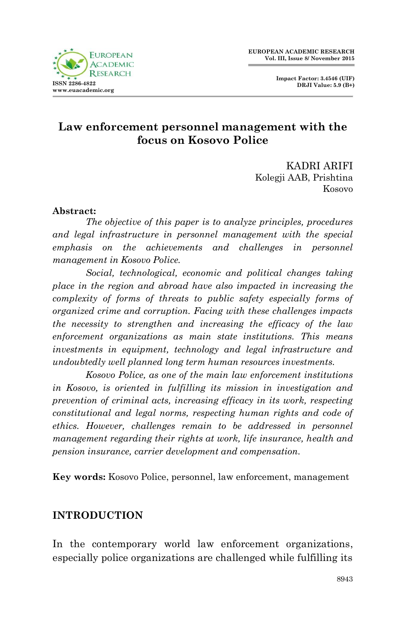



## **Law enforcement personnel management with the focus on Kosovo Police**

KADRI ARIFI Kolegji AAB, Prishtina Kosovo

### **Abstract:**

*The objective of this paper is to analyze principles, procedures and legal infrastructure in personnel management with the special emphasis on the achievements and challenges in personnel management in Kosovo Police.*

*Social, technological, economic and political changes taking place in the region and abroad have also impacted in increasing the complexity of forms of threats to public safety especially forms of organized crime and corruption. Facing with these challenges impacts the necessity to strengthen and increasing the efficacy of the law enforcement organizations as main state institutions. This means investments in equipment, technology and legal infrastructure and undoubtedly well planned long term human resources investments.*

*Kosovo Police, as one of the main law enforcement institutions in Kosovo, is oriented in fulfilling its mission in investigation and prevention of criminal acts, increasing efficacy in its work, respecting constitutional and legal norms, respecting human rights and code of ethics. However, challenges remain to be addressed in personnel management regarding their rights at work, life insurance, health and pension insurance, carrier development and compensation.*

**Key words:** Kosovo Police, personnel, law enforcement, management

### **INTRODUCTION**

In the contemporary world law enforcement organizations, especially police organizations are challenged while fulfilling its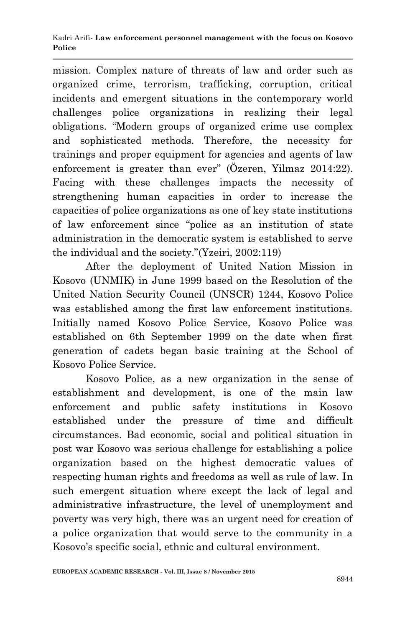mission. Complex nature of threats of law and order such as organized crime, terrorism, trafficking, corruption, critical incidents and emergent situations in the contemporary world challenges police organizations in realizing their legal obligations. "Modern groups of organized crime use complex and sophisticated methods. Therefore, the necessity for trainings and proper equipment for agencies and agents of law enforcement is greater than ever" (Özeren, Yilmaz 2014:22). Facing with these challenges impacts the necessity of strengthening human capacities in order to increase the capacities of police organizations as one of key state institutions of law enforcement since "police as an institution of state administration in the democratic system is established to serve the individual and the society."(Yzeiri, 2002:119)

After the deployment of United Nation Mission in Kosovo (UNMIK) in June 1999 based on the Resolution of the United Nation Security Council (UNSCR) 1244, Kosovo Police was established among the first law enforcement institutions. Initially named Kosovo Police Service, Kosovo Police was established on 6th September 1999 on the date when first generation of cadets began basic training at the School of Kosovo Police Service.

Kosovo Police, as a new organization in the sense of establishment and development, is one of the main law enforcement and public safety institutions in Kosovo established under the pressure of time and difficult circumstances. Bad economic, social and political situation in post war Kosovo was serious challenge for establishing a police organization based on the highest democratic values of respecting human rights and freedoms as well as rule of law. In such emergent situation where except the lack of legal and administrative infrastructure, the level of unemployment and poverty was very high, there was an urgent need for creation of a police organization that would serve to the community in a Kosovo's specific social, ethnic and cultural environment.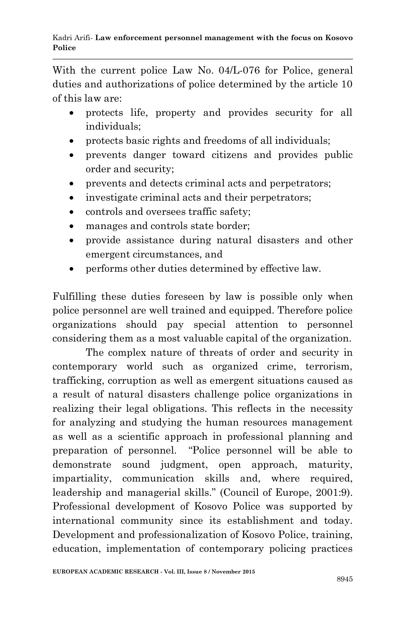With the current police Law No. 04/L-076 for Police, general duties and authorizations of police determined by the article 10 of this law are:

- protects life, property and provides security for all individuals;
- protects basic rights and freedoms of all individuals;
- prevents danger toward citizens and provides public order and security;
- prevents and detects criminal acts and perpetrators;
- investigate criminal acts and their perpetrators;
- controls and oversees traffic safety;
- manages and controls state border:
- provide assistance during natural disasters and other emergent circumstances, and
- performs other duties determined by effective law.

Fulfilling these duties foreseen by law is possible only when police personnel are well trained and equipped. Therefore police organizations should pay special attention to personnel considering them as a most valuable capital of the organization.

The complex nature of threats of order and security in contemporary world such as organized crime, terrorism, trafficking, corruption as well as emergent situations caused as a result of natural disasters challenge police organizations in realizing their legal obligations. This reflects in the necessity for analyzing and studying the human resources management as well as a scientific approach in professional planning and preparation of personnel. "Police personnel will be able to demonstrate sound judgment, open approach, maturity, impartiality, communication skills and, where required, leadership and managerial skills." (Council of Europe, 2001:9). Professional development of Kosovo Police was supported by international community since its establishment and today. Development and professionalization of Kosovo Police, training, education, implementation of contemporary policing practices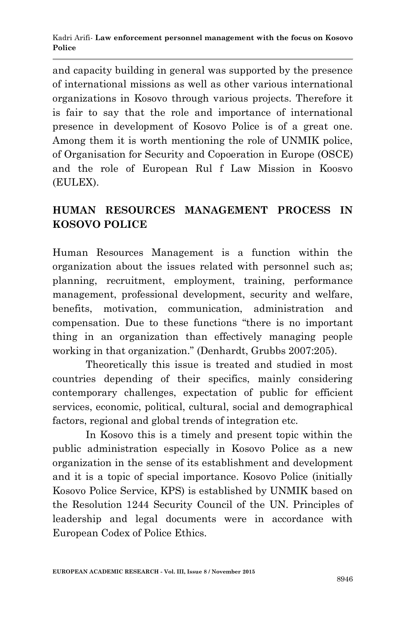and capacity building in general was supported by the presence of international missions as well as other various international organizations in Kosovo through various projects. Therefore it is fair to say that the role and importance of international presence in development of Kosovo Police is of a great one. Among them it is worth mentioning the role of UNMIK police, of Organisation for Security and Copoeration in Europe (OSCE) and the role of European Rul f Law Mission in Koosvo (EULEX).

## **HUMAN RESOURCES MANAGEMENT PROCESS IN KOSOVO POLICE**

Human Resources Management is a function within the organization about the issues related with personnel such as; planning, recruitment, employment, training, performance management, professional development, security and welfare, benefits, motivation, communication, administration and compensation. Due to these functions "there is no important thing in an organization than effectively managing people working in that organization." (Denhardt, Grubbs 2007:205).

Theoretically this issue is treated and studied in most countries depending of their specifics, mainly considering contemporary challenges, expectation of public for efficient services, economic, political, cultural, social and demographical factors, regional and global trends of integration etc.

In Kosovo this is a timely and present topic within the public administration especially in Kosovo Police as a new organization in the sense of its establishment and development and it is a topic of special importance. Kosovo Police (initially Kosovo Police Service, KPS) is established by UNMIK based on the Resolution 1244 Security Council of the UN. Principles of leadership and legal documents were in accordance with European Codex of Police Ethics.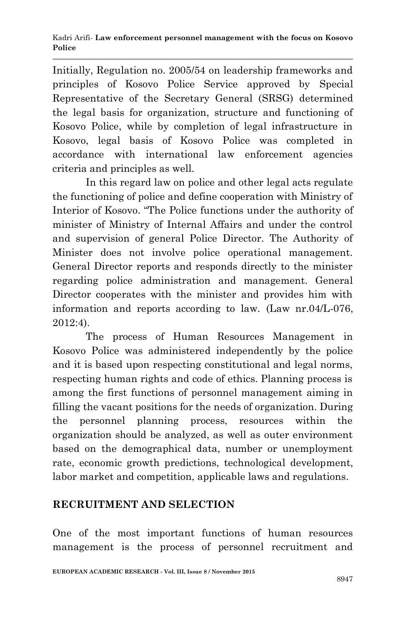Initially, Regulation no. 2005/54 on leadership frameworks and principles of Kosovo Police Service approved by Special Representative of the Secretary General (SRSG) determined the legal basis for organization, structure and functioning of Kosovo Police, while by completion of legal infrastructure in Kosovo, legal basis of Kosovo Police was completed in accordance with international law enforcement agencies criteria and principles as well.

In this regard law on police and other legal acts regulate the functioning of police and define cooperation with Ministry of Interior of Kosovo. "The Police functions under the authority of minister of Ministry of Internal Affairs and under the control and supervision of general Police Director. The Authority of Minister does not involve police operational management. General Director reports and responds directly to the minister regarding police administration and management. General Director cooperates with the minister and provides him with information and reports according to law. (Law nr.04/L-076, 2012:4).

The process of Human Resources Management in Kosovo Police was administered independently by the police and it is based upon respecting constitutional and legal norms, respecting human rights and code of ethics. Planning process is among the first functions of personnel management aiming in filling the vacant positions for the needs of organization. During the personnel planning process, resources within the organization should be analyzed, as well as outer environment based on the demographical data, number or unemployment rate, economic growth predictions, technological development, labor market and competition, applicable laws and regulations.

## **RECRUITMENT AND SELECTION**

One of the most important functions of human resources management is the process of personnel recruitment and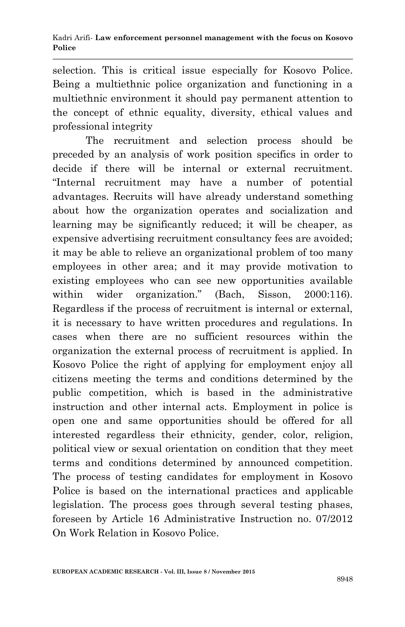selection. This is critical issue especially for Kosovo Police. Being a multiethnic police organization and functioning in a multiethnic environment it should pay permanent attention to the concept of ethnic equality, diversity, ethical values and professional integrity

The recruitment and selection process should be preceded by an analysis of work position specifics in order to decide if there will be internal or external recruitment. "Internal recruitment may have a number of potential advantages. Recruits will have already understand something about how the organization operates and socialization and learning may be significantly reduced; it will be cheaper, as expensive advertising recruitment consultancy fees are avoided; it may be able to relieve an organizational problem of too many employees in other area; and it may provide motivation to existing employees who can see new opportunities available within wider organization." (Bach, Sisson, 2000:116). Regardless if the process of recruitment is internal or external, it is necessary to have written procedures and regulations. In cases when there are no sufficient resources within the organization the external process of recruitment is applied. In Kosovo Police the right of applying for employment enjoy all citizens meeting the terms and conditions determined by the public competition, which is based in the administrative instruction and other internal acts. Employment in police is open one and same opportunities should be offered for all interested regardless their ethnicity, gender, color, religion, political view or sexual orientation on condition that they meet terms and conditions determined by announced competition. The process of testing candidates for employment in Kosovo Police is based on the international practices and applicable legislation. The process goes through several testing phases, foreseen by Article 16 Administrative Instruction no. 07/2012 On Work Relation in Kosovo Police.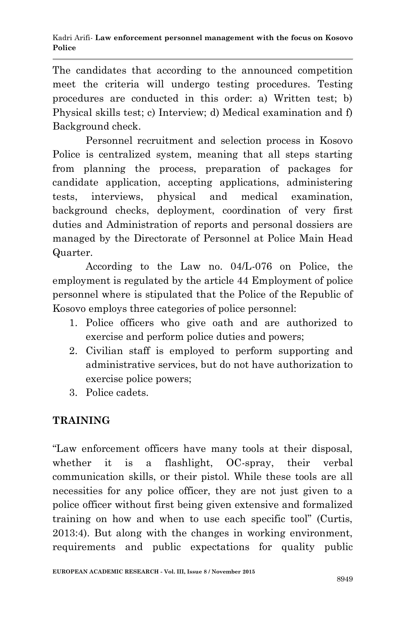The candidates that according to the announced competition meet the criteria will undergo testing procedures. Testing procedures are conducted in this order: a) Written test; b) Physical skills test; c) Interview; d) Medical examination and f) Background check.

Personnel recruitment and selection process in Kosovo Police is centralized system, meaning that all steps starting from planning the process, preparation of packages for candidate application, accepting applications, administering tests, interviews, physical and medical examination, background checks, deployment, coordination of very first duties and Administration of reports and personal dossiers are managed by the Directorate of Personnel at Police Main Head Quarter.

According to the Law no. 04/L-076 on Police, the employment is regulated by the article 44 Employment of police personnel where is stipulated that the Police of the Republic of Kosovo employs three categories of police personnel:

- 1. Police officers who give oath and are authorized to exercise and perform police duties and powers;
- 2. Civilian staff is employed to perform supporting and administrative services, but do not have authorization to exercise police powers;
- 3. Police cadets.

# **TRAINING**

"Law enforcement officers have many tools at their disposal, whether it is a flashlight, OC-spray, their verbal communication skills, or their pistol. While these tools are all necessities for any police officer, they are not just given to a police officer without first being given extensive and formalized training on how and when to use each specific tool" (Curtis, 2013:4). But along with the changes in working environment, requirements and public expectations for quality public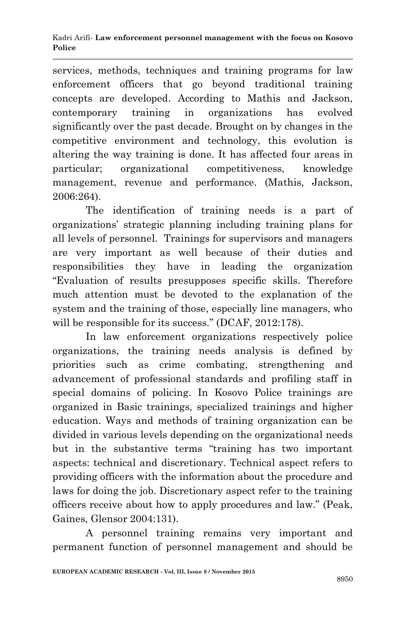#### Kadri Arifi*-* **Law enforcement personnel management with the focus on Kosovo Police**

services, methods, techniques and training programs for law enforcement officers that go beyond traditional training concepts are developed. According to Mathis and Jackson, contemporary training in organizations has evolved significantly over the past decade. Brought on by changes in the competitive environment and technology, this evolution is altering the way training is done. It has affected four areas in particular; organizational competitiveness, knowledge management, revenue and performance. (Mathis, Jackson, 2006:264).

The identification of training needs is a part of organizations' strategic planning including training plans for all levels of personnel. Trainings for supervisors and managers are very important as well because of their duties and responsibilities they have in leading the organization "Evaluation of results presupposes specific skills. Therefore much attention must be devoted to the explanation of the system and the training of those, especially line managers, who will be responsible for its success." (DCAF, 2012:178).

In law enforcement organizations respectively police organizations, the training needs analysis is defined by priorities such as crime combating, strengthening and advancement of professional standards and profiling staff in special domains of policing. In Kosovo Police trainings are organized in Basic trainings, specialized trainings and higher education. Ways and methods of training organization can be divided in various levels depending on the organizational needs but in the substantive terms "training has two important aspects: technical and discretionary. Technical aspect refers to providing officers with the information about the procedure and laws for doing the job. Discretionary aspect refer to the training officers receive about how to apply procedures and law." (Peak, Gaines, Glensor 2004:131).

A personnel training remains very important and permanent function of personnel management and should be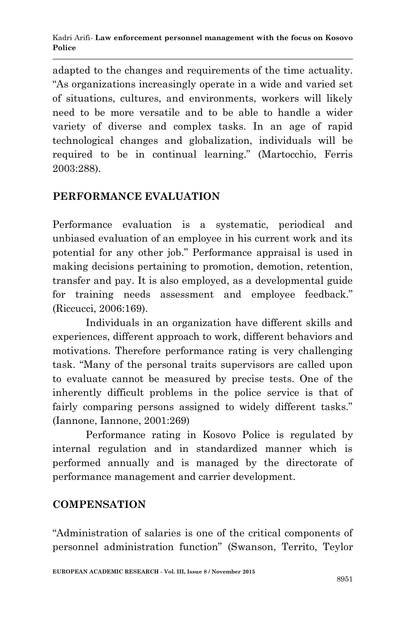adapted to the changes and requirements of the time actuality. "As organizations increasingly operate in a wide and varied set of situations, cultures, and environments, workers will likely need to be more versatile and to be able to handle a wider variety of diverse and complex tasks. In an age of rapid technological changes and globalization, individuals will be required to be in continual learning." (Martocchio, Ferris 2003:288).

### **PERFORMANCE EVALUATION**

Performance evaluation is a systematic, periodical and unbiased evaluation of an employee in his current work and its potential for any other job." Performance appraisal is used in making decisions pertaining to promotion, demotion, retention, transfer and pay. It is also employed, as a developmental guide for training needs assessment and employee feedback." (Riccucci, 2006:169).

Individuals in an organization have different skills and experiences, different approach to work, different behaviors and motivations. Therefore performance rating is very challenging task. "Many of the personal traits supervisors are called upon to evaluate cannot be measured by precise tests. One of the inherently difficult problems in the police service is that of fairly comparing persons assigned to widely different tasks." (Iannone, Iannone, 2001:269)

Performance rating in Kosovo Police is regulated by internal regulation and in standardized manner which is performed annually and is managed by the directorate of performance management and carrier development.

### **COMPENSATION**

"Administration of salaries is one of the critical components of personnel administration function" (Swanson, Territo, Teylor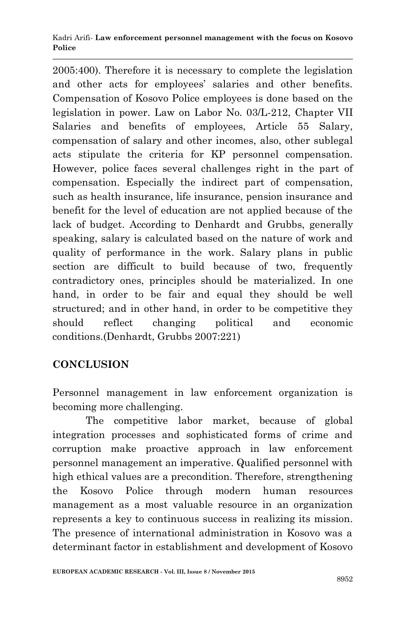#### Kadri Arifi*-* **Law enforcement personnel management with the focus on Kosovo Police**

2005:400). Therefore it is necessary to complete the legislation and other acts for employees' salaries and other benefits. Compensation of Kosovo Police employees is done based on the legislation in power. Law on Labor No. 03/L-212, Chapter VII Salaries and benefits of employees, Article 55 Salary, compensation of salary and other incomes, also, other sublegal acts stipulate the criteria for KP personnel compensation. However, police faces several challenges right in the part of compensation. Especially the indirect part of compensation, such as health insurance, life insurance, pension insurance and benefit for the level of education are not applied because of the lack of budget. According to Denhardt and Grubbs, generally speaking, salary is calculated based on the nature of work and quality of performance in the work. Salary plans in public section are difficult to build because of two, frequently contradictory ones, principles should be materialized. In one hand, in order to be fair and equal they should be well structured; and in other hand, in order to be competitive they should reflect changing political and economic conditions.(Denhardt, Grubbs 2007:221)

## **CONCLUSION**

Personnel management in law enforcement organization is becoming more challenging.

The competitive labor market, because of global integration processes and sophisticated forms of crime and corruption make proactive approach in law enforcement personnel management an imperative. Qualified personnel with high ethical values are a precondition. Therefore, strengthening the Kosovo Police through modern human resources management as a most valuable resource in an organization represents a key to continuous success in realizing its mission. The presence of international administration in Kosovo was a determinant factor in establishment and development of Kosovo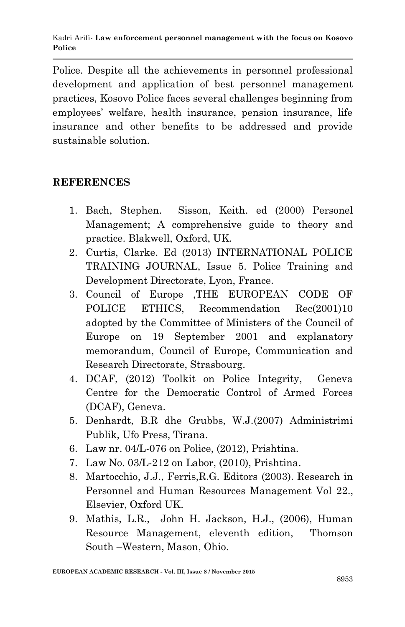Police. Despite all the achievements in personnel professional development and application of best personnel management practices, Kosovo Police faces several challenges beginning from employees' welfare, health insurance, pension insurance, life insurance and other benefits to be addressed and provide sustainable solution.

### **REFERENCES**

- 1. Bach, Stephen. Sisson, Keith. ed (2000) Personel Management; A comprehensive guide to theory and practice. Blakwell, Oxford, UK.
- 2. Curtis, Clarke. Ed (2013) INTERNATIONAL POLICE TRAINING JOURNAL, Issue 5. Police Training and Development Directorate, Lyon, France.
- 3. Council of Europe ,THE EUROPEAN CODE OF POLICE ETHICS, Recommendation Rec(2001)10 adopted by the Committee of Ministers of the Council of Europe on 19 September 2001 and explanatory memorandum, Council of Europe, Communication and Research Directorate, Strasbourg.
- 4. DCAF, (2012) Toolkit on Police Integrity, Geneva Centre for the Democratic Control of Armed Forces (DCAF), Geneva.
- 5. Denhardt, B.R dhe Grubbs, W.J.(2007) Administrimi Publik, Ufo Press, Tirana.
- 6. Law nr. 04/L-076 on Police, (2012), Prishtina.
- 7. Law No. 03/L-212 on Labor, (2010), Prishtina.
- 8. Martocchio, J.J., Ferris,R.G. Editors (2003). Research in Personnel and Human Resources Management Vol 22., Elsevier, Oxford UK.
- 9. Mathis, L.R., John H. Jackson, H.J., (2006), Human Resource Management, eleventh edition, Thomson South –Western, Mason, Ohio.